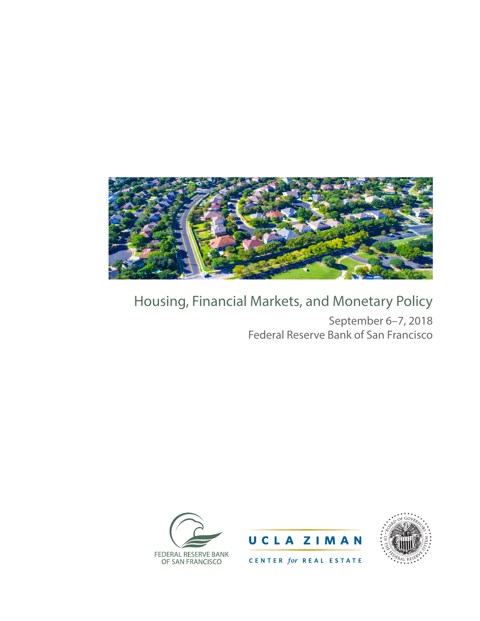

## Housing, Financial Markets, and Monetary Policy

September 6–7, 2018 Federal Reserve Bank of San Francisco







CENTER for REAL ESTATE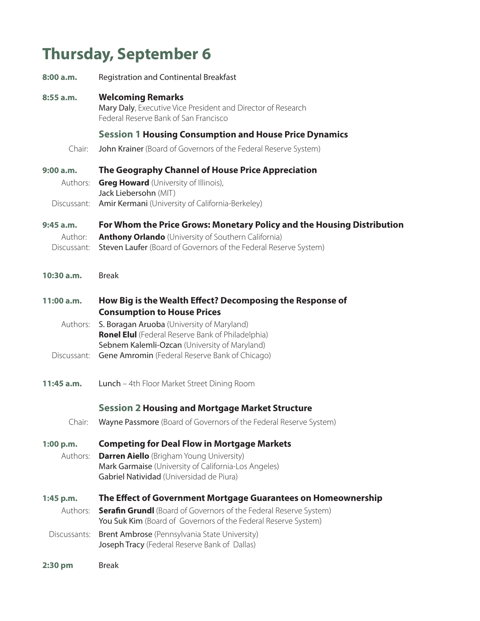## **Thursday, September 6**

| 8:00 a.m.              | <b>Registration and Continental Breakfast</b>                                                                                                           |
|------------------------|---------------------------------------------------------------------------------------------------------------------------------------------------------|
| $8:55$ a.m.            | <b>Welcoming Remarks</b><br>Mary Daly, Executive Vice President and Director of Research<br>Federal Reserve Bank of San Francisco                       |
|                        | <b>Session 1 Housing Consumption and House Price Dynamics</b>                                                                                           |
| Chair:                 | John Krainer (Board of Governors of the Federal Reserve System)                                                                                         |
| 9:00 a.m.              | The Geography Channel of House Price Appreciation                                                                                                       |
| Authors:               | <b>Greg Howard</b> (University of Illinois),<br>Jack Liebersohn (MIT)                                                                                   |
| Discussant:            | Amir Kermani (University of California-Berkeley)                                                                                                        |
| $9:45$ a.m.            | For Whom the Price Grows: Monetary Policy and the Housing Distribution                                                                                  |
| Author:<br>Discussant: | <b>Anthony Orlando</b> (University of Southern California)<br>Steven Laufer (Board of Governors of the Federal Reserve System)                          |
| 10:30a.m.              | <b>Break</b>                                                                                                                                            |
| 11:00 a.m.             | How Big is the Wealth Effect? Decomposing the Response of<br><b>Consumption to House Prices</b>                                                         |
| Authors:               | S. Boragan Aruoba (University of Maryland)<br><b>Ronel Elul</b> (Federal Reserve Bank of Philadelphia)<br>Sebnem Kalemli-Ozcan (University of Maryland) |
| Discussant:            | Gene Amromin (Federal Reserve Bank of Chicago)                                                                                                          |
| 11:45 a.m.             | Lunch - 4th Floor Market Street Dining Room                                                                                                             |
|                        | <b>Session 2 Housing and Mortgage Market Structure</b>                                                                                                  |
|                        | Chair: Wayne Passmore (Board of Governors of the Federal Reserve System)                                                                                |
| 1:00 p.m.              | <b>Competing for Deal Flow in Mortgage Markets</b>                                                                                                      |
| Authors:               | <b>Darren Aiello</b> (Brigham Young University)<br>Mark Garmaise (University of California-Los Angeles)<br>Gabriel Natividad (Universidad de Piura)     |
| $1:45$ p.m.            | The Effect of Government Mortgage Guarantees on Homeownership                                                                                           |
| Authors:               | <b>Serafin Grundl</b> (Board of Governors of the Federal Reserve System)<br>You Suk Kim (Board of Governors of the Federal Reserve System)              |
| Discussants:           | Brent Ambrose (Pennsylvania State University)<br>Joseph Tracy (Federal Reserve Bank of Dallas)                                                          |
| 2:30 pm                | <b>Break</b>                                                                                                                                            |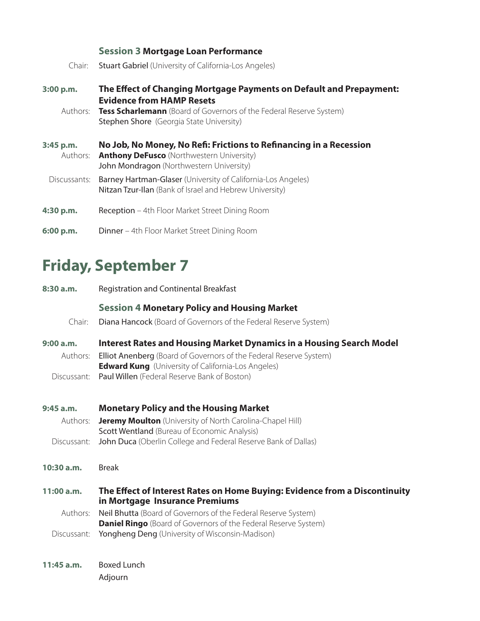|                       | <b>Session 3 Mortgage Loan Performance</b>                                                                                                                                                                     |
|-----------------------|----------------------------------------------------------------------------------------------------------------------------------------------------------------------------------------------------------------|
| Chair:                | <b>Stuart Gabriel</b> (University of California-Los Angeles)                                                                                                                                                   |
| 3:00 p.m.             | The Effect of Changing Mortgage Payments on Default and Prepayment:<br><b>Evidence from HAMP Resets</b><br>Authors: Tess Scharlemann (Board of Governors of the Federal Reserve System)                        |
| 3:45 p.m.<br>Authors: | Stephen Shore (Georgia State University)<br>No Job, No Money, No Refi: Frictions to Refinancing in a Recession<br><b>Anthony DeFusco</b> (Northwestern University)<br>John Mondragon (Northwestern University) |
| Discussants:          | Barney Hartman-Glaser (University of California-Los Angeles)<br>Nitzan Tzur-Ilan (Bank of Israel and Hebrew University)                                                                                        |
| 4:30 p.m.             | <b>Reception</b> – 4th Floor Market Street Dining Room                                                                                                                                                         |
| 6:00 p.m.             | <b>Dinner</b> – 4th Floor Market Street Dining Room                                                                                                                                                            |

## **Friday, September 7**

| 8:30a.m.                             | <b>Registration and Continental Breakfast</b>                                                                                                                                                                                                                  |
|--------------------------------------|----------------------------------------------------------------------------------------------------------------------------------------------------------------------------------------------------------------------------------------------------------------|
| Chair:                               | <b>Session 4 Monetary Policy and Housing Market</b><br>Diana Hancock (Board of Governors of the Federal Reserve System)                                                                                                                                        |
| 9:00a.m.<br>Authors:<br>Discussant:  | <b>Interest Rates and Housing Market Dynamics in a Housing Search Model</b><br>Elliot Anenberg (Board of Governors of the Federal Reserve System)<br><b>Edward Kung</b> (University of California-Los Angeles)<br>Paul Willen (Federal Reserve Bank of Boston) |
| 9:45 a.m.<br>Authors:<br>Discussant: | <b>Monetary Policy and the Housing Market</b><br><b>Jeremy Moulton</b> (University of North Carolina-Chapel Hill)<br>Scott Wentland (Bureau of Economic Analysis)<br>John Duca (Oberlin College and Federal Reserve Bank of Dallas)                            |
| 10:30 a.m.                           | <b>Break</b>                                                                                                                                                                                                                                                   |
| 11:00 a.m.<br>Authors:               | The Effect of Interest Rates on Home Buying: Evidence from a Discontinuity<br>in Mortgage Insurance Premiums                                                                                                                                                   |
| Discussant:                          | Neil Bhutta (Board of Governors of the Federal Reserve System)<br><b>Daniel Ringo</b> (Board of Governors of the Federal Reserve System)<br>Yongheng Deng (University of Wisconsin-Madison)                                                                    |
| $11:45$ a.m.                         | <b>Boxed Lunch</b><br>Adjourn                                                                                                                                                                                                                                  |